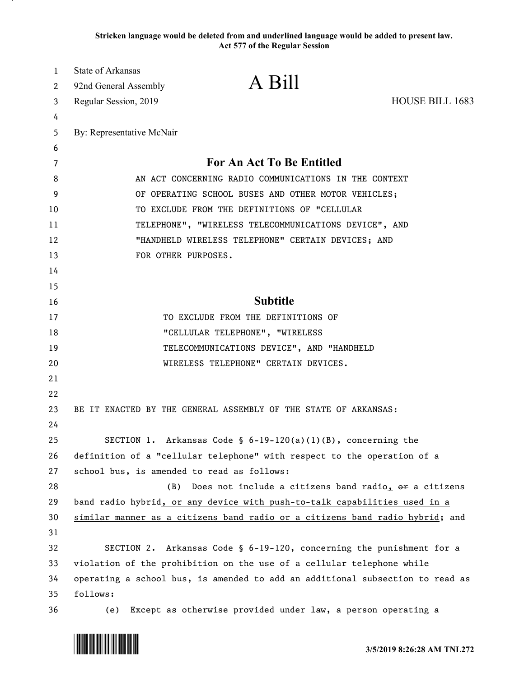**Stricken language would be deleted from and underlined language would be added to present law. Act 577 of the Regular Session**

| 1  | <b>State of Arkansas</b>                                                      |                                                                      |                        |
|----|-------------------------------------------------------------------------------|----------------------------------------------------------------------|------------------------|
| 2  | 92nd General Assembly                                                         | A Bill                                                               |                        |
| 3  | Regular Session, 2019                                                         |                                                                      | <b>HOUSE BILL 1683</b> |
| 4  |                                                                               |                                                                      |                        |
| 5  | By: Representative McNair                                                     |                                                                      |                        |
| 6  |                                                                               |                                                                      |                        |
| 7  |                                                                               | For An Act To Be Entitled                                            |                        |
| 8  | AN ACT CONCERNING RADIO COMMUNICATIONS IN THE CONTEXT                         |                                                                      |                        |
| 9  | OF OPERATING SCHOOL BUSES AND OTHER MOTOR VEHICLES;                           |                                                                      |                        |
| 10 | TO EXCLUDE FROM THE DEFINITIONS OF "CELLULAR                                  |                                                                      |                        |
| 11 | TELEPHONE", "WIRELESS TELECOMMUNICATIONS DEVICE", AND                         |                                                                      |                        |
| 12 | "HANDHELD WIRELESS TELEPHONE" CERTAIN DEVICES; AND                            |                                                                      |                        |
| 13 | FOR OTHER PURPOSES.                                                           |                                                                      |                        |
| 14 |                                                                               |                                                                      |                        |
| 15 |                                                                               |                                                                      |                        |
| 16 |                                                                               | <b>Subtitle</b>                                                      |                        |
| 17 |                                                                               | TO EXCLUDE FROM THE DEFINITIONS OF                                   |                        |
| 18 |                                                                               | "CELLULAR TELEPHONE", "WIRELESS                                      |                        |
| 19 |                                                                               | TELECOMMUNICATIONS DEVICE", AND "HANDHELD                            |                        |
| 20 |                                                                               | WIRELESS TELEPHONE" CERTAIN DEVICES.                                 |                        |
| 21 |                                                                               |                                                                      |                        |
| 22 |                                                                               |                                                                      |                        |
| 23 | BE IT ENACTED BY THE GENERAL ASSEMBLY OF THE STATE OF ARKANSAS:               |                                                                      |                        |
| 24 |                                                                               |                                                                      |                        |
| 25 |                                                                               | SECTION 1. Arkansas Code § 6-19-120(a)(1)(B), concerning the         |                        |
| 26 | definition of a "cellular telephone" with respect to the operation of a       |                                                                      |                        |
| 27 | school bus, is amended to read as follows:                                    |                                                                      |                        |
| 28 | (B)                                                                           | Does not include a citizens band radio, or a citizens                |                        |
| 29 | band radio hybrid, or any device with push-to-talk capabilities used in a     |                                                                      |                        |
| 30 | similar manner as a citizens band radio or a citizens band radio hybrid; and  |                                                                      |                        |
| 31 |                                                                               |                                                                      |                        |
| 32 |                                                                               | SECTION 2. Arkansas Code § 6-19-120, concerning the punishment for a |                        |
| 33 | violation of the prohibition on the use of a cellular telephone while         |                                                                      |                        |
| 34 | operating a school bus, is amended to add an additional subsection to read as |                                                                      |                        |
| 35 | follows:                                                                      |                                                                      |                        |
| 36 |                                                                               | (e) Except as otherwise provided under law, a person operating a     |                        |